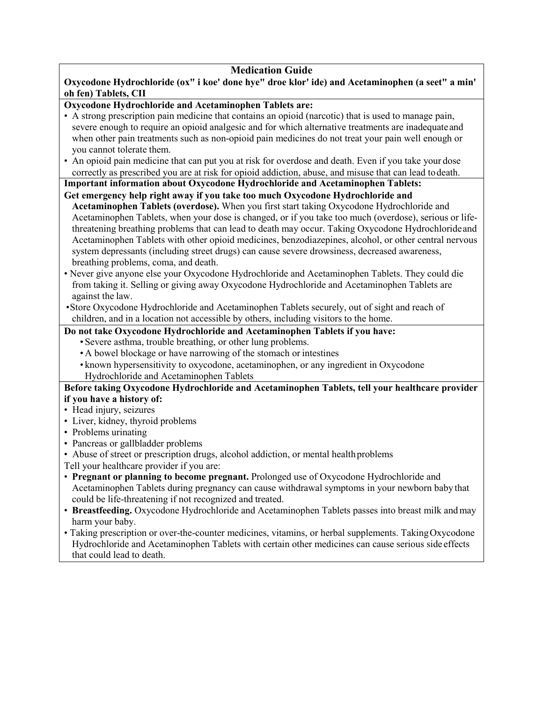## **Medication Guide**

**Oxycodone Hydrochloride (ox" i koe' done hye" droe klor' ide) and Acetaminophen (a seet" a min' oh fen) Tablets, CII**

# **Oxycodone Hydrochloride and Acetaminophen Tablets are:**

- A strong prescription pain medicine that contains an opioid (narcotic) that is used to manage pain, severe enough to require an opioid analgesic and for which alternative treatments are inadequateand when other pain treatments such as non-opioid pain medicines do not treat your pain well enough or you cannot tolerate them.
- An opioid pain medicine that can put you at risk for overdose and death. Even if you take your dose correctly as prescribed you are at risk for opioid addiction, abuse, and misuse that can lead todeath.

**Important information about Oxycodone Hydrochloride and Acetaminophen Tablets: Get emergency help right away if you take too much Oxycodone Hydrochloride and** 

- **Acetaminophen Tablets (overdose).** When you first start taking Oxycodone Hydrochloride and Acetaminophen Tablets, when your dose is changed, or if you take too much (overdose), serious or lifethreatening breathing problems that can lead to death may occur. Taking Oxycodone Hydrochlorideand Acetaminophen Tablets with other opioid medicines, benzodiazepines, alcohol, or other central nervous system depressants (including street drugs) can cause severe drowsiness, decreased awareness, breathing problems, coma, and death.
- Never give anyone else your Oxycodone Hydrochloride and Acetaminophen Tablets. They could die from taking it. Selling or giving away Oxycodone Hydrochloride and Acetaminophen Tablets are against the law.
- •Store Oxycodone Hydrochloride and Acetaminophen Tablets securely, out of sight and reach of children, and in a location not accessible by others, including visitors to the home.

### **Do not take Oxycodone Hydrochloride and Acetaminophen Tablets if you have:**

- Severe asthma, trouble breathing, or other lung problems.
- A bowel blockage or have narrowing of the stomach or intestines
- known hypersensitivity to oxycodone, acetaminophen, or any ingredient in Oxycodone Hydrochloride and Acetaminophen Tablets

#### **Before taking Oxycodone Hydrochloride and Acetaminophen Tablets, tell your healthcare provider if you have a history of:**

- Head injury, seizures
- Liver, kidney, thyroid problems
- Problems urinating
- Pancreas or gallbladder problems
- Abuse of street or prescription drugs, alcohol addiction, or mental healthproblems
- Tell your healthcare provider if you are:
- **Pregnant or planning to become pregnant.** Prolonged use of Oxycodone Hydrochloride and Acetaminophen Tablets during pregnancy can cause withdrawal symptoms in your newborn baby that could be life-threatening if not recognized and treated.
- **Breastfeeding.** Oxycodone Hydrochloride and Acetaminophen Tablets passes into breast milk andmay harm your baby.
- Taking prescription or over-the-counter medicines, vitamins, or herbal supplements. Taking Oxycodone Hydrochloride and Acetaminophen Tablets with certain other medicines can cause serious side effects that could lead to death.